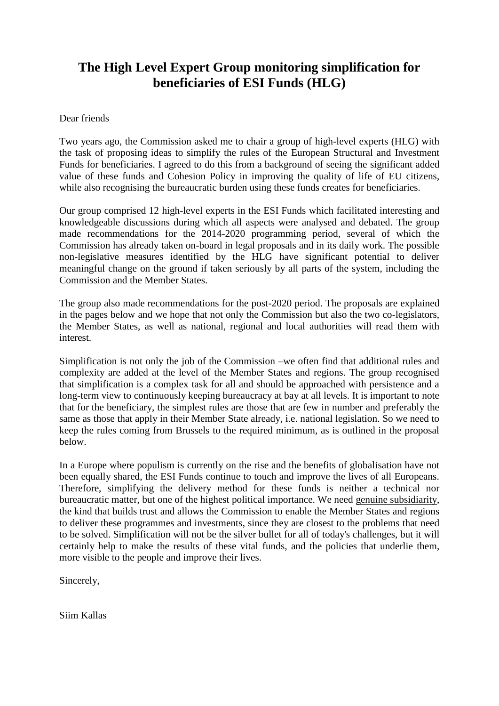# **The High Level Expert Group monitoring simplification for beneficiaries of ESI Funds (HLG)**

#### Dear friends

Two years ago, the Commission asked me to chair a group of high-level experts (HLG) with the task of proposing ideas to simplify the rules of the European Structural and Investment Funds for beneficiaries. I agreed to do this from a background of seeing the significant added value of these funds and Cohesion Policy in improving the quality of life of EU citizens, while also recognising the bureaucratic burden using these funds creates for beneficiaries.

Our group comprised 12 high-level experts in the ESI Funds which facilitated interesting and knowledgeable discussions during which all aspects were analysed and debated. The group made recommendations for the 2014-2020 programming period, several of which the Commission has already taken on-board in legal proposals and in its daily work. The possible non-legislative measures identified by the HLG have significant potential to deliver meaningful change on the ground if taken seriously by all parts of the system, including the Commission and the Member States.

The group also made recommendations for the post-2020 period. The proposals are explained in the pages below and we hope that not only the Commission but also the two co-legislators, the Member States, as well as national, regional and local authorities will read them with interest.

Simplification is not only the job of the Commission –we often find that additional rules and complexity are added at the level of the Member States and regions. The group recognised that simplification is a complex task for all and should be approached with persistence and a long-term view to continuously keeping bureaucracy at bay at all levels. It is important to note that for the beneficiary, the simplest rules are those that are few in number and preferably the same as those that apply in their Member State already, i.e. national legislation. So we need to keep the rules coming from Brussels to the required minimum, as is outlined in the proposal below.

In a Europe where populism is currently on the rise and the benefits of globalisation have not been equally shared, the ESI Funds continue to touch and improve the lives of all Europeans. Therefore, simplifying the delivery method for these funds is neither a technical nor bureaucratic matter, but one of the highest political importance. We need genuine subsidiarity, the kind that builds trust and allows the Commission to enable the Member States and regions to deliver these programmes and investments, since they are closest to the problems that need to be solved. Simplification will not be the silver bullet for all of today's challenges, but it will certainly help to make the results of these vital funds, and the policies that underlie them, more visible to the people and improve their lives.

Sincerely,

Siim Kallas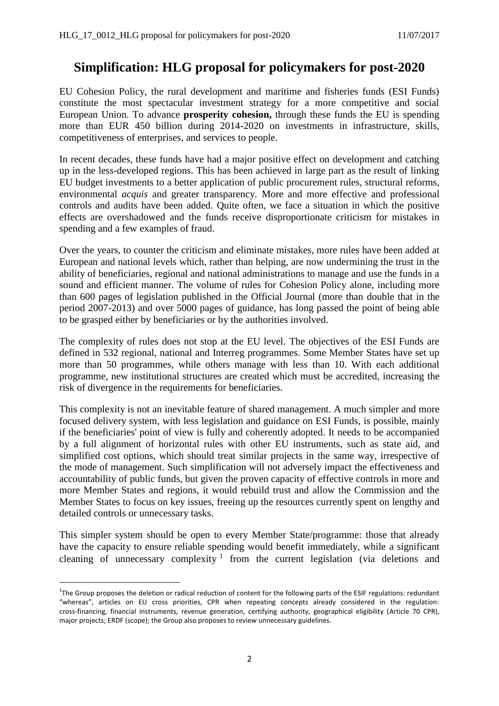### **Simplification: HLG proposal for policymakers for post-2020**

EU Cohesion Policy, the rural development and maritime and fisheries funds (ESI Funds) constitute the most spectacular investment strategy for a more competitive and social European Union. To advance **prosperity cohesion,** through these funds the EU is spending more than EUR 450 billion during 2014-2020 on investments in infrastructure, skills, competitiveness of enterprises, and services to people.

In recent decades, these funds have had a major positive effect on development and catching up in the less-developed regions. This has been achieved in large part as the result of linking EU budget investments to a better application of public procurement rules, structural reforms, environmental *acquis* and greater transparency. More and more effective and professional controls and audits have been added. Quite often, we face a situation in which the positive effects are overshadowed and the funds receive disproportionate criticism for mistakes in spending and a few examples of fraud.

Over the years, to counter the criticism and eliminate mistakes, more rules have been added at European and national levels which, rather than helping, are now undermining the trust in the ability of beneficiaries, regional and national administrations to manage and use the funds in a sound and efficient manner. The volume of rules for Cohesion Policy alone, including more than 600 pages of legislation published in the Official Journal (more than double that in the period 2007-2013) and over 5000 pages of guidance, has long passed the point of being able to be grasped either by beneficiaries or by the authorities involved.

The complexity of rules does not stop at the EU level. The objectives of the ESI Funds are defined in 532 regional, national and Interreg programmes. Some Member States have set up more than 50 programmes, while others manage with less than 10. With each additional programme, new institutional structures are created which must be accredited, increasing the risk of divergence in the requirements for beneficiaries.

This complexity is not an inevitable feature of shared management. A much simpler and more focused delivery system, with less legislation and guidance on ESI Funds, is possible, mainly if the beneficiaries' point of view is fully and coherently adopted. It needs to be accompanied by a full alignment of horizontal rules with other EU instruments, such as state aid, and simplified cost options, which should treat similar projects in the same way, irrespective of the mode of management. Such simplification will not adversely impact the effectiveness and accountability of public funds, but given the proven capacity of effective controls in more and more Member States and regions, it would rebuild trust and allow the Commission and the Member States to focus on key issues, freeing up the resources currently spent on lengthy and detailed controls or unnecessary tasks.

This simpler system should be open to every Member State/programme: those that already have the capacity to ensure reliable spending would benefit immediately, while a significant cleaning of unnecessary complexity  $1$  from the current legislation (via deletions and

 $\overline{a}$ 

<sup>&</sup>lt;sup>1</sup>The Group proposes the deletion or radical reduction of content for the following parts of the ESIF regulations: redundant "whereas", articles on EU cross priorities, CPR when repeating concepts already considered in the regulation: cross-financing, financial instruments, revenue generation, certifying authority, geographical eligibility (Article 70 CPR), major projects; ERDF (scope); the Group also proposes to review unnecessary guidelines.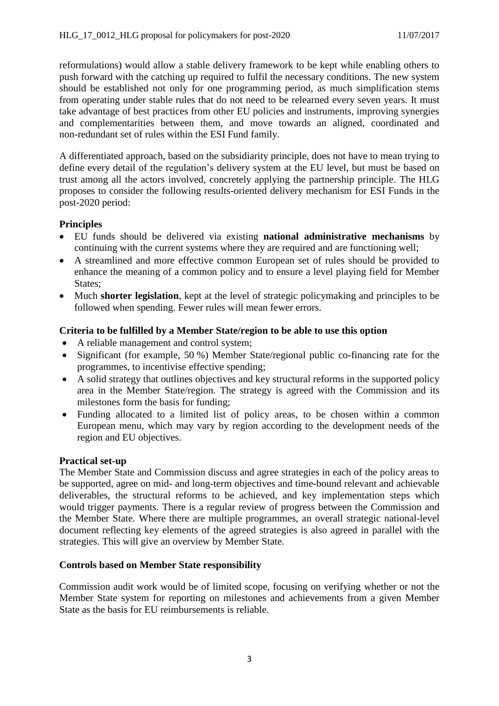reformulations) would allow a stable delivery framework to be kept while enabling others to push forward with the catching up required to fulfil the necessary conditions. The new system should be established not only for one programming period, as much simplification stems from operating under stable rules that do not need to be relearned every seven years. It must take advantage of best practices from other EU policies and instruments, improving synergies and complementarities between them, and move towards an aligned, coordinated and non-redundant set of rules within the ESI Fund family.

A differentiated approach, based on the subsidiarity principle, does not have to mean trying to define every detail of the regulation's delivery system at the EU level, but must be based on trust among all the actors involved, concretely applying the partnership principle. The HLG proposes to consider the following results-oriented delivery mechanism for ESI Funds in the post-2020 period:

### **Principles**

- EU funds should be delivered via existing **national administrative mechanisms** by continuing with the current systems where they are required and are functioning well;
- A streamlined and more effective common European set of rules should be provided to enhance the meaning of a common policy and to ensure a level playing field for Member States:
- Much **shorter legislation**, kept at the level of strategic policymaking and principles to be followed when spending. Fewer rules will mean fewer errors.

### **Criteria to be fulfilled by a Member State/region to be able to use this option**

- A reliable management and control system;
- Significant (for example, 50 %) Member State/regional public co-financing rate for the programmes, to incentivise effective spending;
- A solid strategy that outlines objectives and key structural reforms in the supported policy area in the Member State/region. The strategy is agreed with the Commission and its milestones form the basis for funding;
- Funding allocated to a limited list of policy areas, to be chosen within a common European menu, which may vary by region according to the development needs of the region and EU objectives.

### **Practical set-up**

The Member State and Commission discuss and agree strategies in each of the policy areas to be supported, agree on mid- and long-term objectives and time-bound relevant and achievable deliverables, the structural reforms to be achieved, and key implementation steps which would trigger payments. There is a regular review of progress between the Commission and the Member State. Where there are multiple programmes, an overall strategic national-level document reflecting key elements of the agreed strategies is also agreed in parallel with the strategies. This will give an overview by Member State.

### **Controls based on Member State responsibility**

Commission audit work would be of limited scope, focusing on verifying whether or not the Member State system for reporting on milestones and achievements from a given Member State as the basis for EU reimbursements is reliable.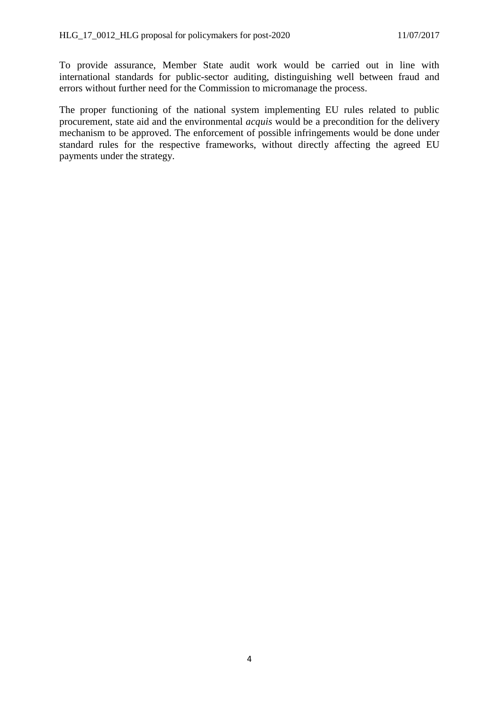To provide assurance, Member State audit work would be carried out in line with international standards for public-sector auditing, distinguishing well between fraud and errors without further need for the Commission to micromanage the process.

The proper functioning of the national system implementing EU rules related to public procurement, state aid and the environmental *acquis* would be a precondition for the delivery mechanism to be approved. The enforcement of possible infringements would be done under standard rules for the respective frameworks, without directly affecting the agreed EU payments under the strategy.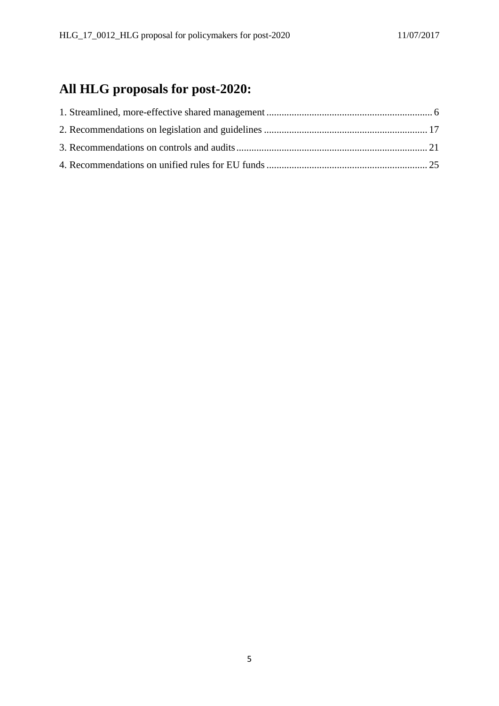# **All HLG proposals for post-2020:**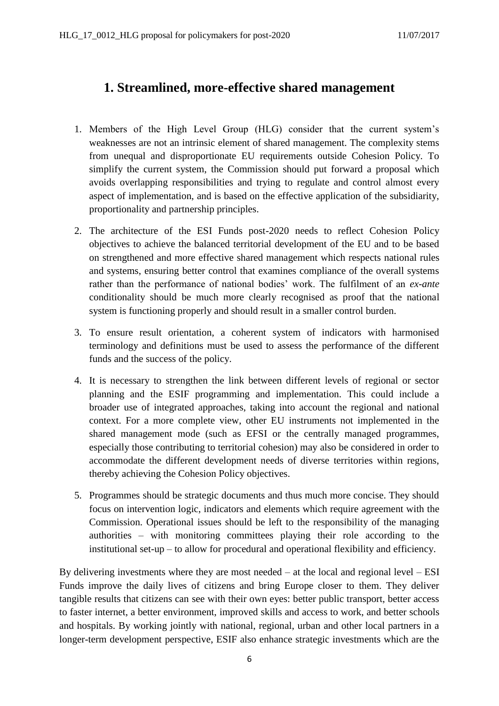# <span id="page-5-0"></span>**1. Streamlined, more-effective shared management**

- 1. Members of the High Level Group (HLG) consider that the current system's weaknesses are not an intrinsic element of shared management. The complexity stems from unequal and disproportionate EU requirements outside Cohesion Policy. To simplify the current system, the Commission should put forward a proposal which avoids overlapping responsibilities and trying to regulate and control almost every aspect of implementation, and is based on the effective application of the subsidiarity, proportionality and partnership principles.
- 2. The architecture of the ESI Funds post-2020 needs to reflect Cohesion Policy objectives to achieve the balanced territorial development of the EU and to be based on strengthened and more effective shared management which respects national rules and systems, ensuring better control that examines compliance of the overall systems rather than the performance of national bodies' work. The fulfilment of an *ex-ante* conditionality should be much more clearly recognised as proof that the national system is functioning properly and should result in a smaller control burden.
- 3. To ensure result orientation, a coherent system of indicators with harmonised terminology and definitions must be used to assess the performance of the different funds and the success of the policy.
- 4. It is necessary to strengthen the link between different levels of regional or sector planning and the ESIF programming and implementation. This could include a broader use of integrated approaches, taking into account the regional and national context. For a more complete view, other EU instruments not implemented in the shared management mode (such as EFSI or the centrally managed programmes, especially those contributing to territorial cohesion) may also be considered in order to accommodate the different development needs of diverse territories within regions, thereby achieving the Cohesion Policy objectives.
- 5. Programmes should be strategic documents and thus much more concise. They should focus on intervention logic, indicators and elements which require agreement with the Commission. Operational issues should be left to the responsibility of the managing authorities – with monitoring committees playing their role according to the institutional set-up – to allow for procedural and operational flexibility and efficiency.

By delivering investments where they are most needed – at the local and regional level – ESI Funds improve the daily lives of citizens and bring Europe closer to them. They deliver tangible results that citizens can see with their own eyes: better public transport, better access to faster internet, a better environment, improved skills and access to work, and better schools and hospitals. By working jointly with national, regional, urban and other local partners in a longer-term development perspective, ESIF also enhance strategic investments which are the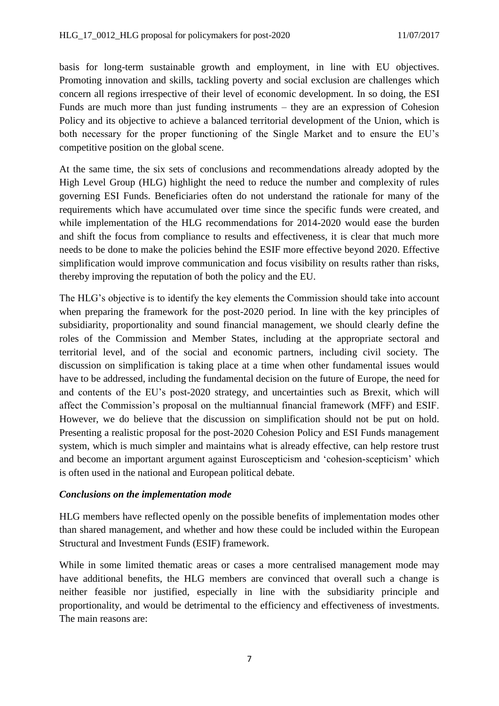basis for long-term sustainable growth and employment, in line with EU objectives. Promoting innovation and skills, tackling poverty and social exclusion are challenges which concern all regions irrespective of their level of economic development. In so doing, the ESI Funds are much more than just funding instruments – they are an expression of Cohesion Policy and its objective to achieve a balanced territorial development of the Union, which is both necessary for the proper functioning of the Single Market and to ensure the EU's competitive position on the global scene.

At the same time, the six sets of conclusions and recommendations already adopted by the High Level Group (HLG) highlight the need to reduce the number and complexity of rules governing ESI Funds. Beneficiaries often do not understand the rationale for many of the requirements which have accumulated over time since the specific funds were created, and while implementation of the HLG recommendations for 2014-2020 would ease the burden and shift the focus from compliance to results and effectiveness, it is clear that much more needs to be done to make the policies behind the ESIF more effective beyond 2020. Effective simplification would improve communication and focus visibility on results rather than risks, thereby improving the reputation of both the policy and the EU.

The HLG's objective is to identify the key elements the Commission should take into account when preparing the framework for the post-2020 period. In line with the key principles of subsidiarity, proportionality and sound financial management, we should clearly define the roles of the Commission and Member States, including at the appropriate sectoral and territorial level, and of the social and economic partners, including civil society. The discussion on simplification is taking place at a time when other fundamental issues would have to be addressed, including the fundamental decision on the future of Europe, the need for and contents of the EU's post-2020 strategy, and uncertainties such as Brexit, which will affect the Commission's proposal on the multiannual financial framework (MFF) and ESIF. However, we do believe that the discussion on simplification should not be put on hold. Presenting a realistic proposal for the post-2020 Cohesion Policy and ESI Funds management system, which is much simpler and maintains what is already effective, can help restore trust and become an important argument against Euroscepticism and 'cohesion-scepticism' which is often used in the national and European political debate.

### *Conclusions on the implementation mode*

HLG members have reflected openly on the possible benefits of implementation modes other than shared management, and whether and how these could be included within the European Structural and Investment Funds (ESIF) framework.

While in some limited thematic areas or cases a more centralised management mode may have additional benefits, the HLG members are convinced that overall such a change is neither feasible nor justified, especially in line with the subsidiarity principle and proportionality, and would be detrimental to the efficiency and effectiveness of investments. The main reasons are: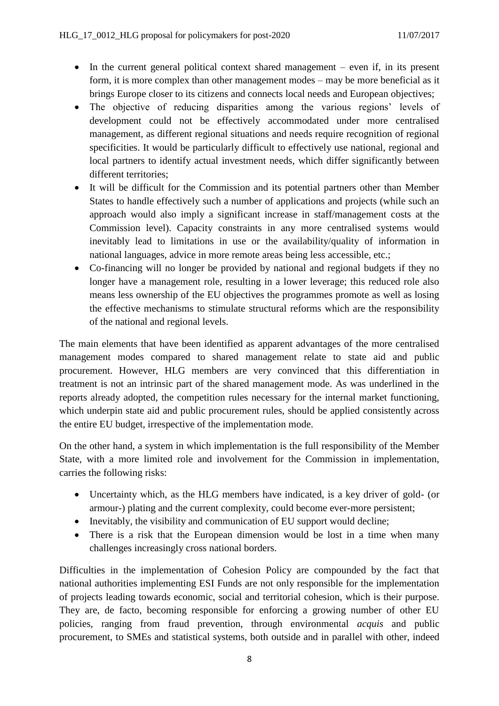- $\bullet$  In the current general political context shared management even if, in its present form, it is more complex than other management modes – may be more beneficial as it brings Europe closer to its citizens and connects local needs and European objectives;
- The objective of reducing disparities among the various regions' levels of development could not be effectively accommodated under more centralised management, as different regional situations and needs require recognition of regional specificities. It would be particularly difficult to effectively use national, regional and local partners to identify actual investment needs, which differ significantly between different territories;
- It will be difficult for the Commission and its potential partners other than Member States to handle effectively such a number of applications and projects (while such an approach would also imply a significant increase in staff/management costs at the Commission level). Capacity constraints in any more centralised systems would inevitably lead to limitations in use or the availability/quality of information in national languages, advice in more remote areas being less accessible, etc.;
- Co-financing will no longer be provided by national and regional budgets if they no longer have a management role, resulting in a lower leverage; this reduced role also means less ownership of the EU objectives the programmes promote as well as losing the effective mechanisms to stimulate structural reforms which are the responsibility of the national and regional levels.

The main elements that have been identified as apparent advantages of the more centralised management modes compared to shared management relate to state aid and public procurement. However, HLG members are very convinced that this differentiation in treatment is not an intrinsic part of the shared management mode. As was underlined in the reports already adopted, the competition rules necessary for the internal market functioning, which underpin state aid and public procurement rules, should be applied consistently across the entire EU budget, irrespective of the implementation mode.

On the other hand, a system in which implementation is the full responsibility of the Member State, with a more limited role and involvement for the Commission in implementation, carries the following risks:

- Uncertainty which, as the HLG members have indicated, is a key driver of gold- (or armour-) plating and the current complexity, could become ever-more persistent;
- Inevitably, the visibility and communication of EU support would decline;
- There is a risk that the European dimension would be lost in a time when many challenges increasingly cross national borders.

Difficulties in the implementation of Cohesion Policy are compounded by the fact that national authorities implementing ESI Funds are not only responsible for the implementation of projects leading towards economic, social and territorial cohesion, which is their purpose. They are, de facto, becoming responsible for enforcing a growing number of other EU policies, ranging from fraud prevention, through environmental *acquis* and public procurement, to SMEs and statistical systems, both outside and in parallel with other, indeed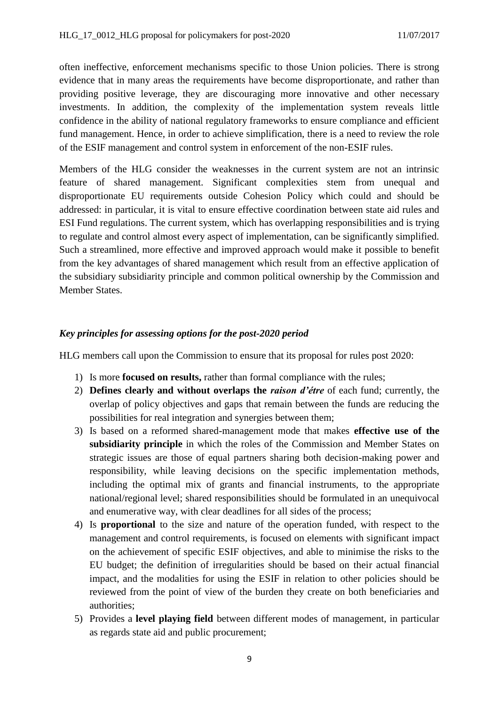often ineffective, enforcement mechanisms specific to those Union policies. There is strong evidence that in many areas the requirements have become disproportionate, and rather than providing positive leverage, they are discouraging more innovative and other necessary investments. In addition, the complexity of the implementation system reveals little confidence in the ability of national regulatory frameworks to ensure compliance and efficient fund management. Hence, in order to achieve simplification, there is a need to review the role of the ESIF management and control system in enforcement of the non-ESIF rules.

Members of the HLG consider the weaknesses in the current system are not an intrinsic feature of shared management. Significant complexities stem from unequal and disproportionate EU requirements outside Cohesion Policy which could and should be addressed: in particular, it is vital to ensure effective coordination between state aid rules and ESI Fund regulations. The current system, which has overlapping responsibilities and is trying to regulate and control almost every aspect of implementation, can be significantly simplified. Such a streamlined, more effective and improved approach would make it possible to benefit from the key advantages of shared management which result from an effective application of the subsidiary subsidiarity principle and common political ownership by the Commission and Member States.

### *Key principles for assessing options for the post-2020 period*

HLG members call upon the Commission to ensure that its proposal for rules post 2020:

- 1) Is more **focused on results,** rather than formal compliance with the rules;
- 2) **Defines clearly and without overlaps the** *raison d'étre* of each fund; currently, the overlap of policy objectives and gaps that remain between the funds are reducing the possibilities for real integration and synergies between them;
- 3) Is based on a reformed shared-management mode that makes **effective use of the subsidiarity principle** in which the roles of the Commission and Member States on strategic issues are those of equal partners sharing both decision-making power and responsibility, while leaving decisions on the specific implementation methods, including the optimal mix of grants and financial instruments, to the appropriate national/regional level; shared responsibilities should be formulated in an unequivocal and enumerative way, with clear deadlines for all sides of the process;
- 4) Is **proportional** to the size and nature of the operation funded, with respect to the management and control requirements, is focused on elements with significant impact on the achievement of specific ESIF objectives, and able to minimise the risks to the EU budget; the definition of irregularities should be based on their actual financial impact, and the modalities for using the ESIF in relation to other policies should be reviewed from the point of view of the burden they create on both beneficiaries and authorities;
- 5) Provides a **level playing field** between different modes of management, in particular as regards state aid and public procurement;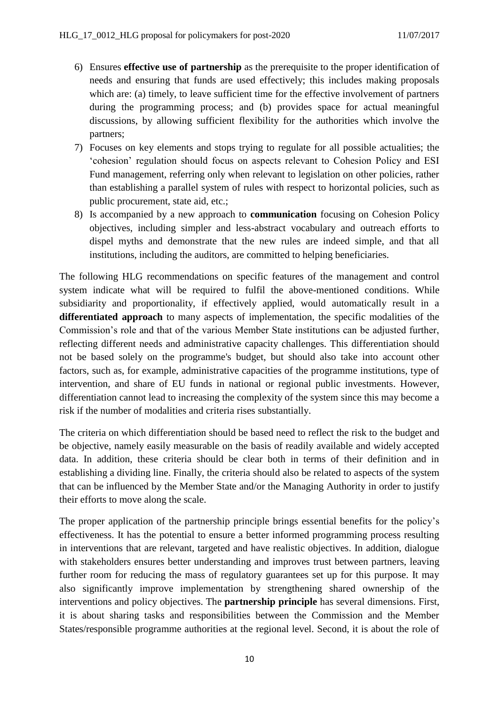- 6) Ensures **effective use of partnership** as the prerequisite to the proper identification of needs and ensuring that funds are used effectively; this includes making proposals which are: (a) timely, to leave sufficient time for the effective involvement of partners during the programming process; and (b) provides space for actual meaningful discussions, by allowing sufficient flexibility for the authorities which involve the partners;
- 7) Focuses on key elements and stops trying to regulate for all possible actualities; the 'cohesion' regulation should focus on aspects relevant to Cohesion Policy and ESI Fund management, referring only when relevant to legislation on other policies, rather than establishing a parallel system of rules with respect to horizontal policies, such as public procurement, state aid, etc.;
- 8) Is accompanied by a new approach to **communication** focusing on Cohesion Policy objectives, including simpler and less-abstract vocabulary and outreach efforts to dispel myths and demonstrate that the new rules are indeed simple, and that all institutions, including the auditors, are committed to helping beneficiaries.

The following HLG recommendations on specific features of the management and control system indicate what will be required to fulfil the above-mentioned conditions. While subsidiarity and proportionality, if effectively applied, would automatically result in a **differentiated approach** to many aspects of implementation, the specific modalities of the Commission's role and that of the various Member State institutions can be adjusted further, reflecting different needs and administrative capacity challenges. This differentiation should not be based solely on the programme's budget, but should also take into account other factors, such as, for example, administrative capacities of the programme institutions, type of intervention, and share of EU funds in national or regional public investments. However, differentiation cannot lead to increasing the complexity of the system since this may become a risk if the number of modalities and criteria rises substantially.

The criteria on which differentiation should be based need to reflect the risk to the budget and be objective, namely easily measurable on the basis of readily available and widely accepted data. In addition, these criteria should be clear both in terms of their definition and in establishing a dividing line. Finally, the criteria should also be related to aspects of the system that can be influenced by the Member State and/or the Managing Authority in order to justify their efforts to move along the scale.

The proper application of the partnership principle brings essential benefits for the policy's effectiveness. It has the potential to ensure a better informed programming process resulting in interventions that are relevant, targeted and have realistic objectives. In addition, dialogue with stakeholders ensures better understanding and improves trust between partners, leaving further room for reducing the mass of regulatory guarantees set up for this purpose. It may also significantly improve implementation by strengthening shared ownership of the interventions and policy objectives. The **partnership principle** has several dimensions. First, it is about sharing tasks and responsibilities between the Commission and the Member States/responsible programme authorities at the regional level. Second, it is about the role of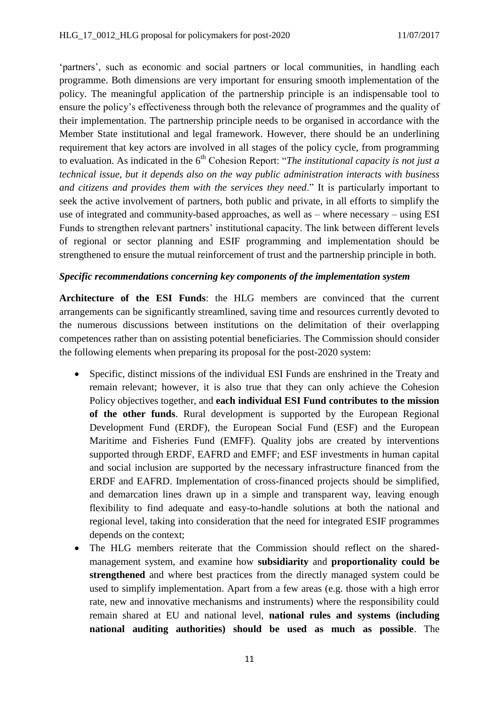'partners', such as economic and social partners or local communities, in handling each programme. Both dimensions are very important for ensuring smooth implementation of the policy. The meaningful application of the partnership principle is an indispensable tool to ensure the policy's effectiveness through both the relevance of programmes and the quality of their implementation. The partnership principle needs to be organised in accordance with the Member State institutional and legal framework. However, there should be an underlining requirement that key actors are involved in all stages of the policy cycle, from programming to evaluation. As indicated in the 6<sup>th</sup> Cohesion Report: "*The institutional capacity is not just a technical issue, but it depends also on the way public administration interacts with business and citizens and provides them with the services they need*." It is particularly important to seek the active involvement of partners, both public and private, in all efforts to simplify the use of integrated and community-based approaches, as well as – where necessary – using ESI Funds to strengthen relevant partners' institutional capacity. The link between different levels of regional or sector planning and ESIF programming and implementation should be strengthened to ensure the mutual reinforcement of trust and the partnership principle in both.

#### *Specific recommendations concerning key components of the implementation system*

**Architecture of the ESI Funds**: the HLG members are convinced that the current arrangements can be significantly streamlined, saving time and resources currently devoted to the numerous discussions between institutions on the delimitation of their overlapping competences rather than on assisting potential beneficiaries. The Commission should consider the following elements when preparing its proposal for the post-2020 system:

- Specific, distinct missions of the individual ESI Funds are enshrined in the Treaty and remain relevant; however, it is also true that they can only achieve the Cohesion Policy objectives together, and **each individual ESI Fund contributes to the mission of the other funds**. Rural development is supported by the European Regional Development Fund (ERDF), the European Social Fund (ESF) and the European Maritime and Fisheries Fund (EMFF). Quality jobs are created by interventions supported through ERDF, EAFRD and EMFF; and ESF investments in human capital and social inclusion are supported by the necessary infrastructure financed from the ERDF and EAFRD. Implementation of cross-financed projects should be simplified, and demarcation lines drawn up in a simple and transparent way, leaving enough flexibility to find adequate and easy-to-handle solutions at both the national and regional level, taking into consideration that the need for integrated ESIF programmes depends on the context;
- The HLG members reiterate that the Commission should reflect on the sharedmanagement system, and examine how **subsidiarity** and **proportionality could be strengthened** and where best practices from the directly managed system could be used to simplify implementation. Apart from a few areas (e.g. those with a high error rate, new and innovative mechanisms and instruments) where the responsibility could remain shared at EU and national level, **national rules and systems (including national auditing authorities) should be used as much as possible**. The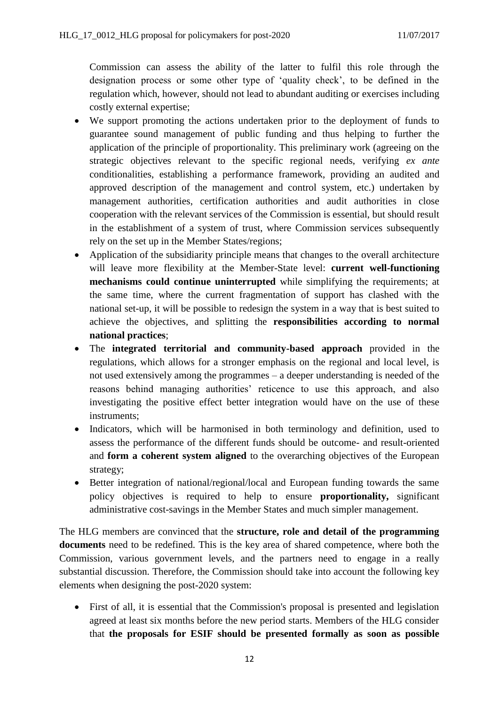Commission can assess the ability of the latter to fulfil this role through the designation process or some other type of 'quality check', to be defined in the regulation which, however, should not lead to abundant auditing or exercises including costly external expertise;

- We support promoting the actions undertaken prior to the deployment of funds to guarantee sound management of public funding and thus helping to further the application of the principle of proportionality. This preliminary work (agreeing on the strategic objectives relevant to the specific regional needs, verifying *ex ante* conditionalities, establishing a performance framework, providing an audited and approved description of the management and control system, etc.) undertaken by management authorities, certification authorities and audit authorities in close cooperation with the relevant services of the Commission is essential, but should result in the establishment of a system of trust, where Commission services subsequently rely on the set up in the Member States/regions;
- Application of the subsidiarity principle means that changes to the overall architecture will leave more flexibility at the Member-State level: **current well-functioning mechanisms could continue uninterrupted** while simplifying the requirements; at the same time, where the current fragmentation of support has clashed with the national set-up, it will be possible to redesign the system in a way that is best suited to achieve the objectives, and splitting the **responsibilities according to normal national practices**;
- The **integrated territorial and community-based approach** provided in the regulations, which allows for a stronger emphasis on the regional and local level, is not used extensively among the programmes – a deeper understanding is needed of the reasons behind managing authorities' reticence to use this approach, and also investigating the positive effect better integration would have on the use of these instruments;
- Indicators, which will be harmonised in both terminology and definition, used to assess the performance of the different funds should be outcome- and result-oriented and **form a coherent system aligned** to the overarching objectives of the European strategy;
- Better integration of national/regional/local and European funding towards the same policy objectives is required to help to ensure **proportionality,** significant administrative cost-savings in the Member States and much simpler management.

The HLG members are convinced that the **structure, role and detail of the programming documents** need to be redefined. This is the key area of shared competence, where both the Commission, various government levels, and the partners need to engage in a really substantial discussion. Therefore, the Commission should take into account the following key elements when designing the post-2020 system:

 First of all, it is essential that the Commission's proposal is presented and legislation agreed at least six months before the new period starts. Members of the HLG consider that **the proposals for ESIF should be presented formally as soon as possible**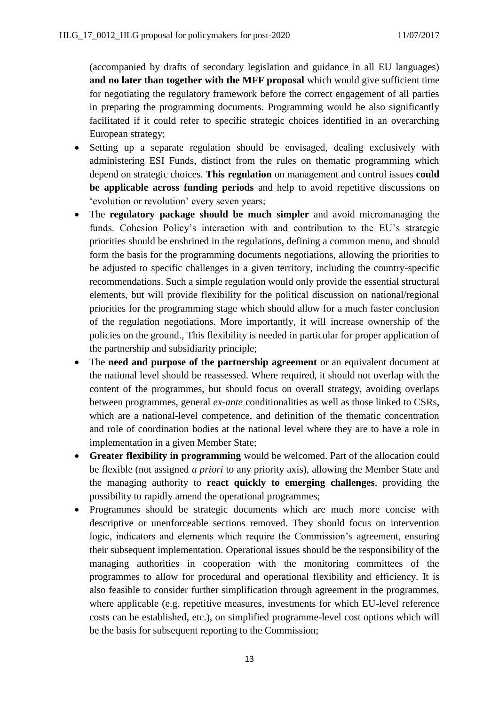(accompanied by drafts of secondary legislation and guidance in all EU languages) **and no later than together with the MFF proposal** which would give sufficient time for negotiating the regulatory framework before the correct engagement of all parties in preparing the programming documents. Programming would be also significantly facilitated if it could refer to specific strategic choices identified in an overarching European strategy;

- Setting up a separate regulation should be envisaged, dealing exclusively with administering ESI Funds, distinct from the rules on thematic programming which depend on strategic choices. **This regulation** on management and control issues **could be applicable across funding periods** and help to avoid repetitive discussions on 'evolution or revolution' every seven years;
- The **regulatory package should be much simpler** and avoid micromanaging the funds. Cohesion Policy's interaction with and contribution to the EU's strategic priorities should be enshrined in the regulations, defining a common menu, and should form the basis for the programming documents negotiations, allowing the priorities to be adjusted to specific challenges in a given territory, including the country-specific recommendations. Such a simple regulation would only provide the essential structural elements, but will provide flexibility for the political discussion on national/regional priorities for the programming stage which should allow for a much faster conclusion of the regulation negotiations. More importantly, it will increase ownership of the policies on the ground., This flexibility is needed in particular for proper application of the partnership and subsidiarity principle;
- The **need and purpose of the partnership agreement** or an equivalent document at the national level should be reassessed. Where required, it should not overlap with the content of the programmes, but should focus on overall strategy, avoiding overlaps between programmes, general *ex-ante* conditionalities as well as those linked to CSRs, which are a national-level competence, and definition of the thematic concentration and role of coordination bodies at the national level where they are to have a role in implementation in a given Member State;
- **Greater flexibility in programming** would be welcomed. Part of the allocation could be flexible (not assigned *a priori* to any priority axis), allowing the Member State and the managing authority to **react quickly to emerging challenges**, providing the possibility to rapidly amend the operational programmes;
- Programmes should be strategic documents which are much more concise with descriptive or unenforceable sections removed. They should focus on intervention logic, indicators and elements which require the Commission's agreement, ensuring their subsequent implementation. Operational issues should be the responsibility of the managing authorities in cooperation with the monitoring committees of the programmes to allow for procedural and operational flexibility and efficiency. It is also feasible to consider further simplification through agreement in the programmes, where applicable (e.g. repetitive measures, investments for which EU-level reference costs can be established, etc.), on simplified programme-level cost options which will be the basis for subsequent reporting to the Commission;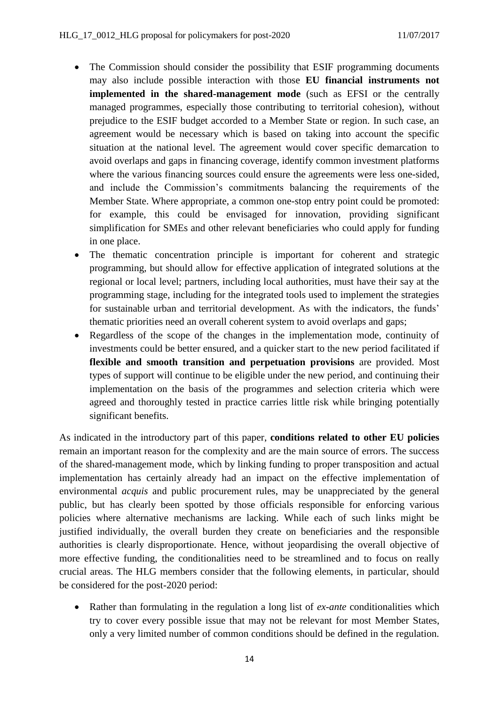- The Commission should consider the possibility that ESIF programming documents may also include possible interaction with those **EU financial instruments not implemented in the shared-management mode** (such as EFSI or the centrally managed programmes, especially those contributing to territorial cohesion), without prejudice to the ESIF budget accorded to a Member State or region. In such case, an agreement would be necessary which is based on taking into account the specific situation at the national level. The agreement would cover specific demarcation to avoid overlaps and gaps in financing coverage, identify common investment platforms where the various financing sources could ensure the agreements were less one-sided, and include the Commission's commitments balancing the requirements of the Member State. Where appropriate, a common one-stop entry point could be promoted: for example, this could be envisaged for innovation, providing significant simplification for SMEs and other relevant beneficiaries who could apply for funding in one place.
- The thematic concentration principle is important for coherent and strategic programming, but should allow for effective application of integrated solutions at the regional or local level; partners, including local authorities, must have their say at the programming stage, including for the integrated tools used to implement the strategies for sustainable urban and territorial development. As with the indicators, the funds' thematic priorities need an overall coherent system to avoid overlaps and gaps;
- Regardless of the scope of the changes in the implementation mode, continuity of investments could be better ensured, and a quicker start to the new period facilitated if **flexible and smooth transition and perpetuation provisions** are provided. Most types of support will continue to be eligible under the new period, and continuing their implementation on the basis of the programmes and selection criteria which were agreed and thoroughly tested in practice carries little risk while bringing potentially significant benefits.

As indicated in the introductory part of this paper, **conditions related to other EU policies** remain an important reason for the complexity and are the main source of errors. The success of the shared-management mode, which by linking funding to proper transposition and actual implementation has certainly already had an impact on the effective implementation of environmental *acquis* and public procurement rules, may be unappreciated by the general public, but has clearly been spotted by those officials responsible for enforcing various policies where alternative mechanisms are lacking. While each of such links might be justified individually, the overall burden they create on beneficiaries and the responsible authorities is clearly disproportionate. Hence, without jeopardising the overall objective of more effective funding, the conditionalities need to be streamlined and to focus on really crucial areas. The HLG members consider that the following elements, in particular, should be considered for the post-2020 period:

 Rather than formulating in the regulation a long list of *ex-ante* conditionalities which try to cover every possible issue that may not be relevant for most Member States, only a very limited number of common conditions should be defined in the regulation.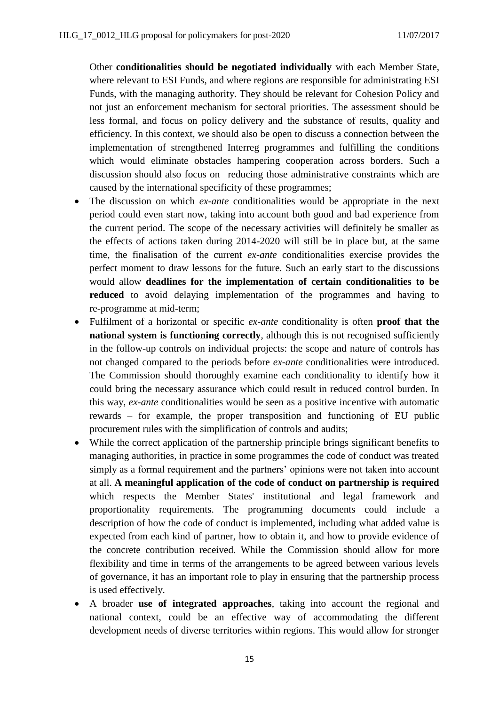Other **conditionalities should be negotiated individually** with each Member State, where relevant to ESI Funds, and where regions are responsible for administrating ESI Funds, with the managing authority. They should be relevant for Cohesion Policy and not just an enforcement mechanism for sectoral priorities. The assessment should be less formal, and focus on policy delivery and the substance of results, quality and efficiency. In this context, we should also be open to discuss a connection between the implementation of strengthened Interreg programmes and fulfilling the conditions which would eliminate obstacles hampering cooperation across borders. Such a discussion should also focus on reducing those administrative constraints which are caused by the international specificity of these programmes;

- The discussion on which *ex-ante* conditionalities would be appropriate in the next period could even start now, taking into account both good and bad experience from the current period. The scope of the necessary activities will definitely be smaller as the effects of actions taken during 2014-2020 will still be in place but, at the same time, the finalisation of the current *ex-ante* conditionalities exercise provides the perfect moment to draw lessons for the future. Such an early start to the discussions would allow **deadlines for the implementation of certain conditionalities to be reduced** to avoid delaying implementation of the programmes and having to re-programme at mid-term;
- Fulfilment of a horizontal or specific *ex-ante* conditionality is often **proof that the national system is functioning correctly**, although this is not recognised sufficiently in the follow-up controls on individual projects: the scope and nature of controls has not changed compared to the periods before *ex-ante* conditionalities were introduced. The Commission should thoroughly examine each conditionality to identify how it could bring the necessary assurance which could result in reduced control burden. In this way, *ex-ante* conditionalities would be seen as a positive incentive with automatic rewards – for example, the proper transposition and functioning of EU public procurement rules with the simplification of controls and audits;
- While the correct application of the partnership principle brings significant benefits to managing authorities, in practice in some programmes the code of conduct was treated simply as a formal requirement and the partners' opinions were not taken into account at all. **A meaningful application of the code of conduct on partnership is required**  which respects the Member States' institutional and legal framework and proportionality requirements. The programming documents could include a description of how the code of conduct is implemented, including what added value is expected from each kind of partner, how to obtain it, and how to provide evidence of the concrete contribution received. While the Commission should allow for more flexibility and time in terms of the arrangements to be agreed between various levels of governance, it has an important role to play in ensuring that the partnership process is used effectively.
- A broader **use of integrated approaches**, taking into account the regional and national context, could be an effective way of accommodating the different development needs of diverse territories within regions. This would allow for stronger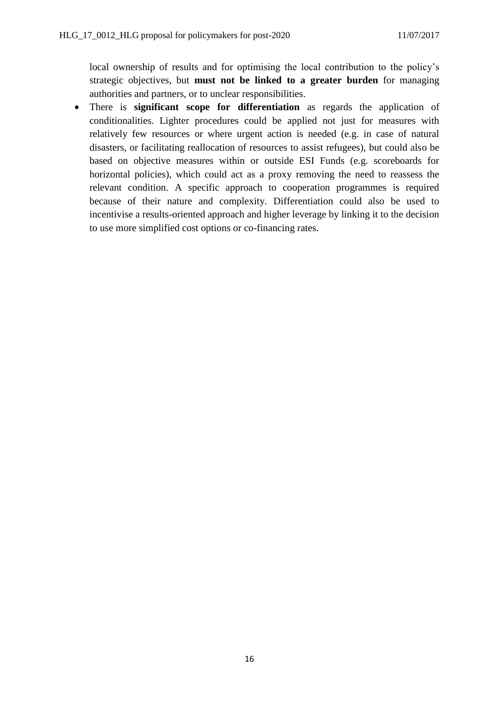local ownership of results and for optimising the local contribution to the policy's strategic objectives, but **must not be linked to a greater burden** for managing authorities and partners, or to unclear responsibilities.

 There is **significant scope for differentiation** as regards the application of conditionalities. Lighter procedures could be applied not just for measures with relatively few resources or where urgent action is needed (e.g. in case of natural disasters, or facilitating reallocation of resources to assist refugees), but could also be based on objective measures within or outside ESI Funds (e.g. scoreboards for horizontal policies), which could act as a proxy removing the need to reassess the relevant condition. A specific approach to cooperation programmes is required because of their nature and complexity. Differentiation could also be used to incentivise a results-oriented approach and higher leverage by linking it to the decision to use more simplified cost options or co-financing rates.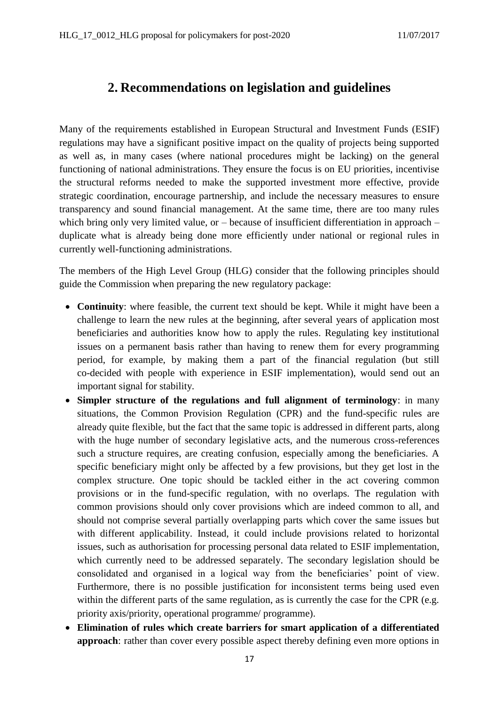# <span id="page-16-0"></span>**2. Recommendations on legislation and guidelines**

Many of the requirements established in European Structural and Investment Funds (ESIF) regulations may have a significant positive impact on the quality of projects being supported as well as, in many cases (where national procedures might be lacking) on the general functioning of national administrations. They ensure the focus is on EU priorities, incentivise the structural reforms needed to make the supported investment more effective, provide strategic coordination, encourage partnership, and include the necessary measures to ensure transparency and sound financial management. At the same time, there are too many rules which bring only very limited value, or – because of insufficient differentiation in approach – duplicate what is already being done more efficiently under national or regional rules in currently well-functioning administrations.

The members of the High Level Group (HLG) consider that the following principles should guide the Commission when preparing the new regulatory package:

- **Continuity**: where feasible, the current text should be kept. While it might have been a challenge to learn the new rules at the beginning, after several years of application most beneficiaries and authorities know how to apply the rules. Regulating key institutional issues on a permanent basis rather than having to renew them for every programming period, for example, by making them a part of the financial regulation (but still co-decided with people with experience in ESIF implementation), would send out an important signal for stability.
- **Simpler structure of the regulations and full alignment of terminology**: in many situations, the Common Provision Regulation (CPR) and the fund-specific rules are already quite flexible, but the fact that the same topic is addressed in different parts, along with the huge number of secondary legislative acts, and the numerous cross-references such a structure requires, are creating confusion, especially among the beneficiaries. A specific beneficiary might only be affected by a few provisions, but they get lost in the complex structure. One topic should be tackled either in the act covering common provisions or in the fund-specific regulation, with no overlaps. The regulation with common provisions should only cover provisions which are indeed common to all, and should not comprise several partially overlapping parts which cover the same issues but with different applicability. Instead, it could include provisions related to horizontal issues, such as authorisation for processing personal data related to ESIF implementation, which currently need to be addressed separately. The secondary legislation should be consolidated and organised in a logical way from the beneficiaries' point of view. Furthermore, there is no possible justification for inconsistent terms being used even within the different parts of the same regulation, as is currently the case for the CPR (e.g. priority axis/priority, operational programme/ programme).
- **Elimination of rules which create barriers for smart application of a differentiated approach**: rather than cover every possible aspect thereby defining even more options in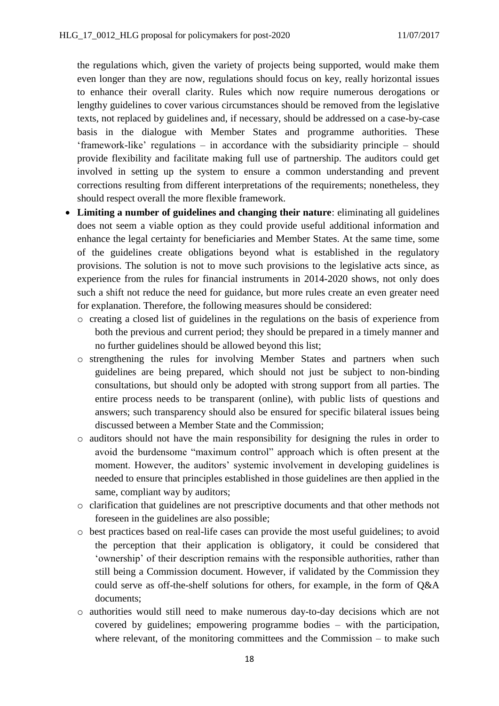the regulations which, given the variety of projects being supported, would make them even longer than they are now, regulations should focus on key, really horizontal issues to enhance their overall clarity. Rules which now require numerous derogations or lengthy guidelines to cover various circumstances should be removed from the legislative texts, not replaced by guidelines and, if necessary, should be addressed on a case-by-case basis in the dialogue with Member States and programme authorities. These 'framework-like' regulations – in accordance with the subsidiarity principle – should provide flexibility and facilitate making full use of partnership. The auditors could get involved in setting up the system to ensure a common understanding and prevent corrections resulting from different interpretations of the requirements; nonetheless, they should respect overall the more flexible framework.

- **Limiting a number of guidelines and changing their nature**: eliminating all guidelines does not seem a viable option as they could provide useful additional information and enhance the legal certainty for beneficiaries and Member States. At the same time, some of the guidelines create obligations beyond what is established in the regulatory provisions. The solution is not to move such provisions to the legislative acts since, as experience from the rules for financial instruments in 2014-2020 shows, not only does such a shift not reduce the need for guidance, but more rules create an even greater need for explanation. Therefore, the following measures should be considered:
	- o creating a closed list of guidelines in the regulations on the basis of experience from both the previous and current period; they should be prepared in a timely manner and no further guidelines should be allowed beyond this list;
	- o strengthening the rules for involving Member States and partners when such guidelines are being prepared, which should not just be subject to non-binding consultations, but should only be adopted with strong support from all parties. The entire process needs to be transparent (online), with public lists of questions and answers; such transparency should also be ensured for specific bilateral issues being discussed between a Member State and the Commission;
	- o auditors should not have the main responsibility for designing the rules in order to avoid the burdensome "maximum control" approach which is often present at the moment. However, the auditors' systemic involvement in developing guidelines is needed to ensure that principles established in those guidelines are then applied in the same, compliant way by auditors;
	- o clarification that guidelines are not prescriptive documents and that other methods not foreseen in the guidelines are also possible;
	- o best practices based on real-life cases can provide the most useful guidelines; to avoid the perception that their application is obligatory, it could be considered that 'ownership' of their description remains with the responsible authorities, rather than still being a Commission document. However, if validated by the Commission they could serve as off-the-shelf solutions for others, for example, in the form of Q&A documents;
	- o authorities would still need to make numerous day-to-day decisions which are not covered by guidelines; empowering programme bodies – with the participation, where relevant, of the monitoring committees and the Commission  $-$  to make such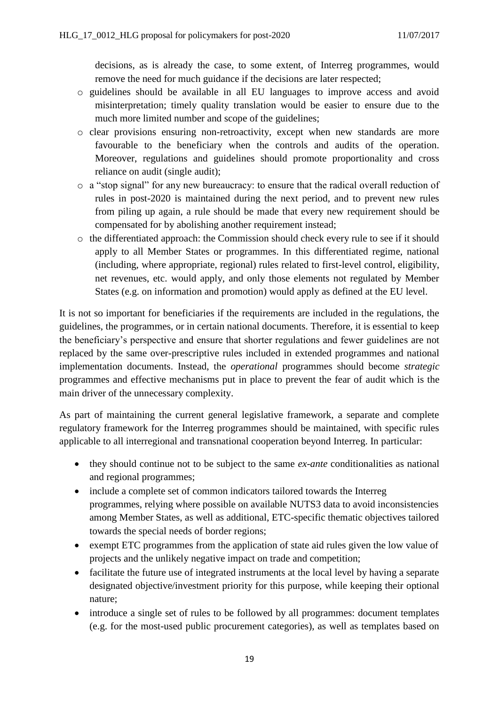decisions, as is already the case, to some extent, of Interreg programmes, would remove the need for much guidance if the decisions are later respected;

- o guidelines should be available in all EU languages to improve access and avoid misinterpretation; timely quality translation would be easier to ensure due to the much more limited number and scope of the guidelines;
- o clear provisions ensuring non-retroactivity, except when new standards are more favourable to the beneficiary when the controls and audits of the operation. Moreover, regulations and guidelines should promote proportionality and cross reliance on audit (single audit);
- o a "stop signal" for any new bureaucracy: to ensure that the radical overall reduction of rules in post-2020 is maintained during the next period, and to prevent new rules from piling up again, a rule should be made that every new requirement should be compensated for by abolishing another requirement instead;
- o the differentiated approach: the Commission should check every rule to see if it should apply to all Member States or programmes. In this differentiated regime, national (including, where appropriate, regional) rules related to first-level control, eligibility, net revenues, etc. would apply, and only those elements not regulated by Member States (e.g. on information and promotion) would apply as defined at the EU level.

It is not so important for beneficiaries if the requirements are included in the regulations, the guidelines, the programmes, or in certain national documents. Therefore, it is essential to keep the beneficiary's perspective and ensure that shorter regulations and fewer guidelines are not replaced by the same over-prescriptive rules included in extended programmes and national implementation documents. Instead, the *operational* programmes should become *strategic* programmes and effective mechanisms put in place to prevent the fear of audit which is the main driver of the unnecessary complexity.

As part of maintaining the current general legislative framework, a separate and complete regulatory framework for the Interreg programmes should be maintained, with specific rules applicable to all interregional and transnational cooperation beyond Interreg. In particular:

- they should continue not to be subject to the same *ex-ante* conditionalities as national and regional programmes;
- include a complete set of common indicators tailored towards the Interreg programmes, relying where possible on available NUTS3 data to avoid inconsistencies among Member States, as well as additional, ETC-specific thematic objectives tailored towards the special needs of border regions;
- exempt ETC programmes from the application of state aid rules given the low value of projects and the unlikely negative impact on trade and competition;
- facilitate the future use of integrated instruments at the local level by having a separate designated objective/investment priority for this purpose, while keeping their optional nature;
- introduce a single set of rules to be followed by all programmes: document templates (e.g. for the most-used public procurement categories), as well as templates based on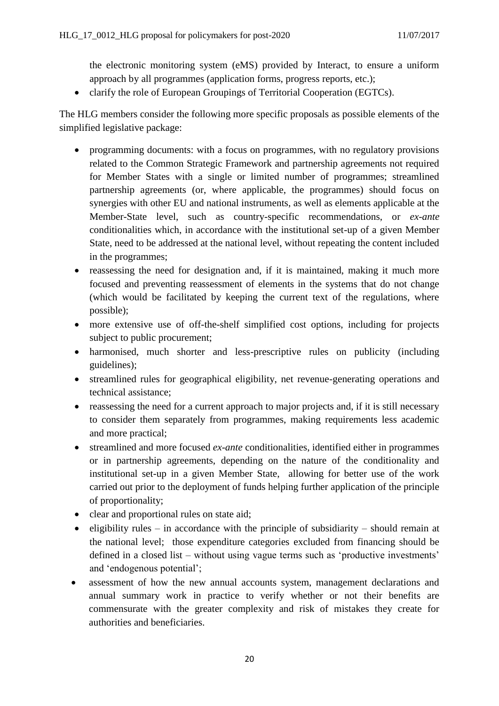the electronic monitoring system (eMS) provided by Interact, to ensure a uniform approach by all programmes (application forms, progress reports, etc.);

• clarify the role of European Groupings of Territorial Cooperation (EGTCs).

The HLG members consider the following more specific proposals as possible elements of the simplified legislative package:

- programming documents: with a focus on programmes, with no regulatory provisions related to the Common Strategic Framework and partnership agreements not required for Member States with a single or limited number of programmes; streamlined partnership agreements (or, where applicable, the programmes) should focus on synergies with other EU and national instruments, as well as elements applicable at the Member-State level, such as country-specific recommendations, or *ex-ante* conditionalities which, in accordance with the institutional set-up of a given Member State, need to be addressed at the national level, without repeating the content included in the programmes;
- reassessing the need for designation and, if it is maintained, making it much more focused and preventing reassessment of elements in the systems that do not change (which would be facilitated by keeping the current text of the regulations, where possible);
- more extensive use of off-the-shelf simplified cost options, including for projects subject to public procurement;
- harmonised, much shorter and less-prescriptive rules on publicity (including guidelines);
- streamlined rules for geographical eligibility, net revenue-generating operations and technical assistance;
- reassessing the need for a current approach to major projects and, if it is still necessary to consider them separately from programmes, making requirements less academic and more practical;
- streamlined and more focused *ex-ante* conditionalities, identified either in programmes or in partnership agreements, depending on the nature of the conditionality and institutional set-up in a given Member State, allowing for better use of the work carried out prior to the deployment of funds helping further application of the principle of proportionality;
- clear and proportional rules on state aid;
- eligibility rules in accordance with the principle of subsidiarity should remain at the national level; those expenditure categories excluded from financing should be defined in a closed list – without using vague terms such as 'productive investments' and 'endogenous potential';
- assessment of how the new annual accounts system, management declarations and annual summary work in practice to verify whether or not their benefits are commensurate with the greater complexity and risk of mistakes they create for authorities and beneficiaries.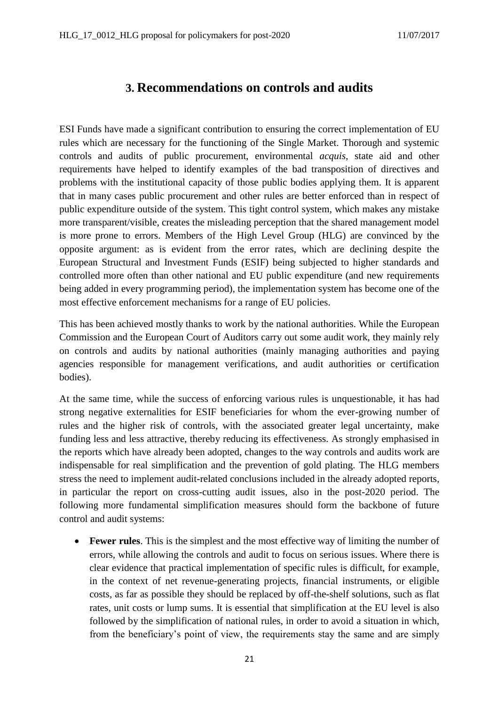### **3. Recommendations on controls and audits**

<span id="page-20-0"></span>ESI Funds have made a significant contribution to ensuring the correct implementation of EU rules which are necessary for the functioning of the Single Market. Thorough and systemic controls and audits of public procurement, environmental *acquis*, state aid and other requirements have helped to identify examples of the bad transposition of directives and problems with the institutional capacity of those public bodies applying them. It is apparent that in many cases public procurement and other rules are better enforced than in respect of public expenditure outside of the system. This tight control system, which makes any mistake more transparent/visible, creates the misleading perception that the shared management model is more prone to errors. Members of the High Level Group (HLG) are convinced by the opposite argument: as is evident from the error rates, which are declining despite the European Structural and Investment Funds (ESIF) being subjected to higher standards and controlled more often than other national and EU public expenditure (and new requirements being added in every programming period), the implementation system has become one of the most effective enforcement mechanisms for a range of EU policies.

This has been achieved mostly thanks to work by the national authorities. While the European Commission and the European Court of Auditors carry out some audit work, they mainly rely on controls and audits by national authorities (mainly managing authorities and paying agencies responsible for management verifications, and audit authorities or certification bodies).

At the same time, while the success of enforcing various rules is unquestionable, it has had strong negative externalities for ESIF beneficiaries for whom the ever-growing number of rules and the higher risk of controls, with the associated greater legal uncertainty, make funding less and less attractive, thereby reducing its effectiveness. As strongly emphasised in the reports which have already been adopted, changes to the way controls and audits work are indispensable for real simplification and the prevention of gold plating. The HLG members stress the need to implement audit-related conclusions included in the already adopted reports, in particular the report on cross-cutting audit issues, also in the post-2020 period. The following more fundamental simplification measures should form the backbone of future control and audit systems:

 **Fewer rules**. This is the simplest and the most effective way of limiting the number of errors, while allowing the controls and audit to focus on serious issues. Where there is clear evidence that practical implementation of specific rules is difficult, for example, in the context of net revenue-generating projects, financial instruments, or eligible costs, as far as possible they should be replaced by off-the-shelf solutions, such as flat rates, unit costs or lump sums. It is essential that simplification at the EU level is also followed by the simplification of national rules, in order to avoid a situation in which, from the beneficiary's point of view, the requirements stay the same and are simply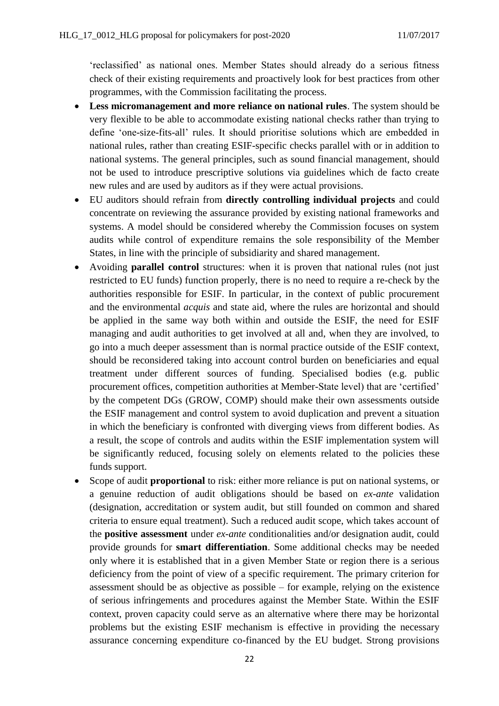'reclassified' as national ones. Member States should already do a serious fitness check of their existing requirements and proactively look for best practices from other programmes, with the Commission facilitating the process.

- **Less micromanagement and more reliance on national rules**. The system should be very flexible to be able to accommodate existing national checks rather than trying to define 'one-size-fits-all' rules. It should prioritise solutions which are embedded in national rules, rather than creating ESIF-specific checks parallel with or in addition to national systems. The general principles, such as sound financial management, should not be used to introduce prescriptive solutions via guidelines which de facto create new rules and are used by auditors as if they were actual provisions.
- EU auditors should refrain from **directly controlling individual projects** and could concentrate on reviewing the assurance provided by existing national frameworks and systems. A model should be considered whereby the Commission focuses on system audits while control of expenditure remains the sole responsibility of the Member States, in line with the principle of subsidiarity and shared management.
- Avoiding **parallel control** structures: when it is proven that national rules (not just restricted to EU funds) function properly, there is no need to require a re-check by the authorities responsible for ESIF. In particular, in the context of public procurement and the environmental *acquis* and state aid, where the rules are horizontal and should be applied in the same way both within and outside the ESIF, the need for ESIF managing and audit authorities to get involved at all and, when they are involved, to go into a much deeper assessment than is normal practice outside of the ESIF context, should be reconsidered taking into account control burden on beneficiaries and equal treatment under different sources of funding. Specialised bodies (e.g. public procurement offices, competition authorities at Member-State level) that are 'certified' by the competent DGs (GROW, COMP) should make their own assessments outside the ESIF management and control system to avoid duplication and prevent a situation in which the beneficiary is confronted with diverging views from different bodies. As a result, the scope of controls and audits within the ESIF implementation system will be significantly reduced, focusing solely on elements related to the policies these funds support.
- Scope of audit **proportional** to risk: either more reliance is put on national systems, or a genuine reduction of audit obligations should be based on *ex-ante* validation (designation, accreditation or system audit, but still founded on common and shared criteria to ensure equal treatment). Such a reduced audit scope, which takes account of the **positive assessment** under *ex-ante* conditionalities and/or designation audit, could provide grounds for **smart differentiation**. Some additional checks may be needed only where it is established that in a given Member State or region there is a serious deficiency from the point of view of a specific requirement. The primary criterion for assessment should be as objective as possible – for example, relying on the existence of serious infringements and procedures against the Member State. Within the ESIF context, proven capacity could serve as an alternative where there may be horizontal problems but the existing ESIF mechanism is effective in providing the necessary assurance concerning expenditure co-financed by the EU budget. Strong provisions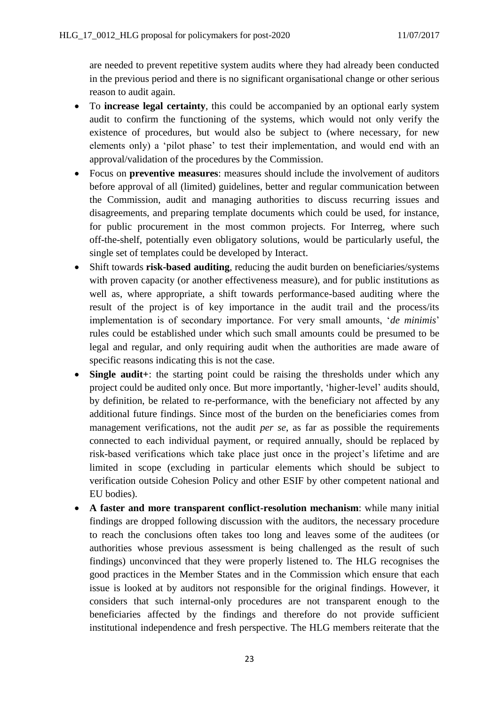are needed to prevent repetitive system audits where they had already been conducted in the previous period and there is no significant organisational change or other serious reason to audit again.

- To **increase legal certainty**, this could be accompanied by an optional early system audit to confirm the functioning of the systems, which would not only verify the existence of procedures, but would also be subject to (where necessary, for new elements only) a 'pilot phase' to test their implementation, and would end with an approval/validation of the procedures by the Commission.
- Focus on **preventive measures**: measures should include the involvement of auditors before approval of all (limited) guidelines, better and regular communication between the Commission, audit and managing authorities to discuss recurring issues and disagreements, and preparing template documents which could be used, for instance, for public procurement in the most common projects. For Interreg, where such off-the-shelf, potentially even obligatory solutions, would be particularly useful, the single set of templates could be developed by Interact.
- Shift towards **risk-based auditing**, reducing the audit burden on beneficiaries/systems with proven capacity (or another effectiveness measure), and for public institutions as well as, where appropriate, a shift towards performance-based auditing where the result of the project is of key importance in the audit trail and the process/its implementation is of secondary importance. For very small amounts, '*de minimis*' rules could be established under which such small amounts could be presumed to be legal and regular, and only requiring audit when the authorities are made aware of specific reasons indicating this is not the case.
- **Single audit**+: the starting point could be raising the thresholds under which any project could be audited only once. But more importantly, 'higher-level' audits should, by definition, be related to re-performance, with the beneficiary not affected by any additional future findings. Since most of the burden on the beneficiaries comes from management verifications, not the audit *per se*, as far as possible the requirements connected to each individual payment, or required annually, should be replaced by risk-based verifications which take place just once in the project's lifetime and are limited in scope (excluding in particular elements which should be subject to verification outside Cohesion Policy and other ESIF by other competent national and EU bodies).
- **A faster and more transparent conflict-resolution mechanism**: while many initial findings are dropped following discussion with the auditors, the necessary procedure to reach the conclusions often takes too long and leaves some of the auditees (or authorities whose previous assessment is being challenged as the result of such findings) unconvinced that they were properly listened to. The HLG recognises the good practices in the Member States and in the Commission which ensure that each issue is looked at by auditors not responsible for the original findings. However, it considers that such internal-only procedures are not transparent enough to the beneficiaries affected by the findings and therefore do not provide sufficient institutional independence and fresh perspective. The HLG members reiterate that the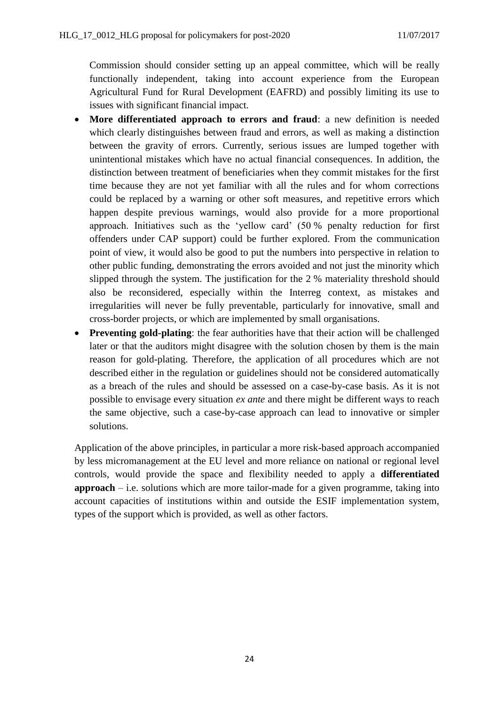Commission should consider setting up an appeal committee, which will be really functionally independent, taking into account experience from the European Agricultural Fund for Rural Development (EAFRD) and possibly limiting its use to issues with significant financial impact.

- **More differentiated approach to errors and fraud**: a new definition is needed which clearly distinguishes between fraud and errors, as well as making a distinction between the gravity of errors. Currently, serious issues are lumped together with unintentional mistakes which have no actual financial consequences. In addition, the distinction between treatment of beneficiaries when they commit mistakes for the first time because they are not yet familiar with all the rules and for whom corrections could be replaced by a warning or other soft measures, and repetitive errors which happen despite previous warnings, would also provide for a more proportional approach. Initiatives such as the 'yellow card' (50 % penalty reduction for first offenders under CAP support) could be further explored. From the communication point of view, it would also be good to put the numbers into perspective in relation to other public funding, demonstrating the errors avoided and not just the minority which slipped through the system. The justification for the 2 % materiality threshold should also be reconsidered, especially within the Interreg context, as mistakes and irregularities will never be fully preventable, particularly for innovative, small and cross-border projects, or which are implemented by small organisations.
- **Preventing gold-plating**: the fear authorities have that their action will be challenged later or that the auditors might disagree with the solution chosen by them is the main reason for gold-plating. Therefore, the application of all procedures which are not described either in the regulation or guidelines should not be considered automatically as a breach of the rules and should be assessed on a case-by-case basis. As it is not possible to envisage every situation *ex ante* and there might be different ways to reach the same objective, such a case-by-case approach can lead to innovative or simpler solutions.

Application of the above principles, in particular a more risk-based approach accompanied by less micromanagement at the EU level and more reliance on national or regional level controls, would provide the space and flexibility needed to apply a **differentiated approach** – i.e. solutions which are more tailor-made for a given programme, taking into account capacities of institutions within and outside the ESIF implementation system, types of the support which is provided, as well as other factors.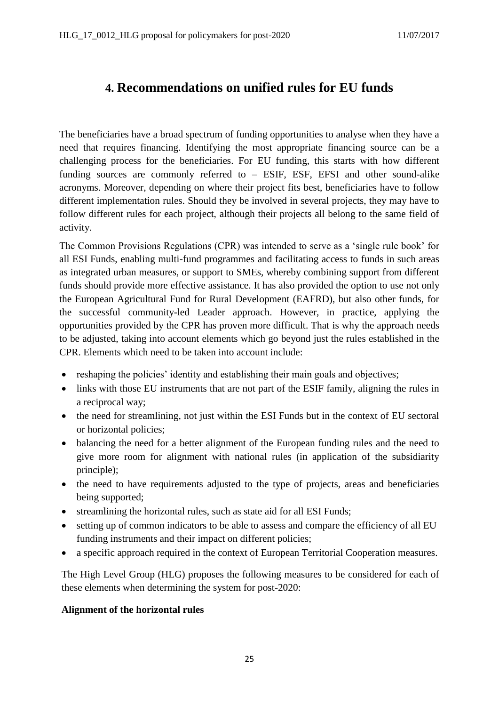# <span id="page-24-0"></span>**4. Recommendations on unified rules for EU funds**

The beneficiaries have a broad spectrum of funding opportunities to analyse when they have a need that requires financing. Identifying the most appropriate financing source can be a challenging process for the beneficiaries. For EU funding, this starts with how different funding sources are commonly referred to – ESIF, ESF, EFSI and other sound-alike acronyms. Moreover, depending on where their project fits best, beneficiaries have to follow different implementation rules. Should they be involved in several projects, they may have to follow different rules for each project, although their projects all belong to the same field of activity.

The Common Provisions Regulations (CPR) was intended to serve as a 'single rule book' for all ESI Funds, enabling multi-fund programmes and facilitating access to funds in such areas as integrated urban measures, or support to SMEs, whereby combining support from different funds should provide more effective assistance. It has also provided the option to use not only the European Agricultural Fund for Rural Development (EAFRD), but also other funds, for the successful community-led Leader approach. However, in practice, applying the opportunities provided by the CPR has proven more difficult. That is why the approach needs to be adjusted, taking into account elements which go beyond just the rules established in the CPR. Elements which need to be taken into account include:

- reshaping the policies' identity and establishing their main goals and objectives;
- links with those EU instruments that are not part of the ESIF family, aligning the rules in a reciprocal way;
- the need for streamlining, not just within the ESI Funds but in the context of EU sectoral or horizontal policies;
- balancing the need for a better alignment of the European funding rules and the need to give more room for alignment with national rules (in application of the subsidiarity principle);
- the need to have requirements adjusted to the type of projects, areas and beneficiaries being supported;
- streamlining the horizontal rules, such as state aid for all ESI Funds;
- setting up of common indicators to be able to assess and compare the efficiency of all EU funding instruments and their impact on different policies;
- a specific approach required in the context of European Territorial Cooperation measures.

The High Level Group (HLG) proposes the following measures to be considered for each of these elements when determining the system for post-2020:

### **Alignment of the horizontal rules**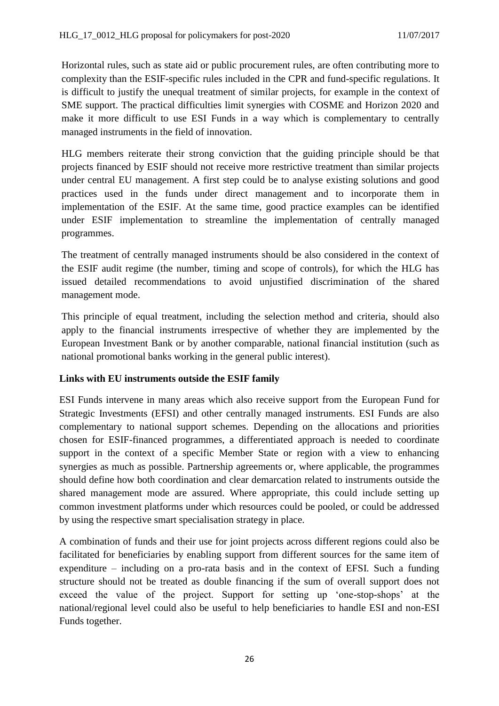Horizontal rules, such as state aid or public procurement rules, are often contributing more to complexity than the ESIF-specific rules included in the CPR and fund-specific regulations. It is difficult to justify the unequal treatment of similar projects, for example in the context of SME support. The practical difficulties limit synergies with COSME and Horizon 2020 and make it more difficult to use ESI Funds in a way which is complementary to centrally managed instruments in the field of innovation.

HLG members reiterate their strong conviction that the guiding principle should be that projects financed by ESIF should not receive more restrictive treatment than similar projects under central EU management. A first step could be to analyse existing solutions and good practices used in the funds under direct management and to incorporate them in implementation of the ESIF. At the same time, good practice examples can be identified under ESIF implementation to streamline the implementation of centrally managed programmes.

The treatment of centrally managed instruments should be also considered in the context of the ESIF audit regime (the number, timing and scope of controls), for which the HLG has issued detailed recommendations to avoid unjustified discrimination of the shared management mode.

This principle of equal treatment, including the selection method and criteria, should also apply to the financial instruments irrespective of whether they are implemented by the European Investment Bank or by another comparable, national financial institution (such as national promotional banks working in the general public interest).

### **Links with EU instruments outside the ESIF family**

ESI Funds intervene in many areas which also receive support from the European Fund for Strategic Investments (EFSI) and other centrally managed instruments. ESI Funds are also complementary to national support schemes. Depending on the allocations and priorities chosen for ESIF-financed programmes, a differentiated approach is needed to coordinate support in the context of a specific Member State or region with a view to enhancing synergies as much as possible. Partnership agreements or, where applicable, the programmes should define how both coordination and clear demarcation related to instruments outside the shared management mode are assured. Where appropriate, this could include setting up common investment platforms under which resources could be pooled, or could be addressed by using the respective smart specialisation strategy in place.

A combination of funds and their use for joint projects across different regions could also be facilitated for beneficiaries by enabling support from different sources for the same item of expenditure – including on a pro-rata basis and in the context of EFSI. Such a funding structure should not be treated as double financing if the sum of overall support does not exceed the value of the project. Support for setting up 'one-stop-shops' at the national/regional level could also be useful to help beneficiaries to handle ESI and non-ESI Funds together.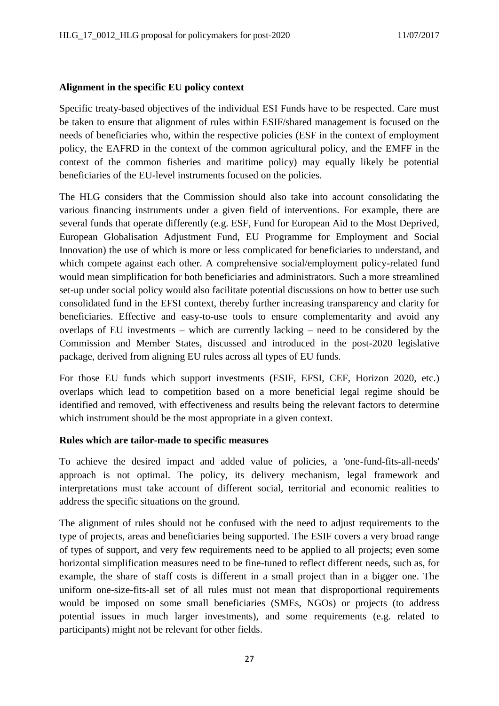#### **Alignment in the specific EU policy context**

Specific treaty-based objectives of the individual ESI Funds have to be respected. Care must be taken to ensure that alignment of rules within ESIF/shared management is focused on the needs of beneficiaries who, within the respective policies (ESF in the context of employment policy, the EAFRD in the context of the common agricultural policy, and the EMFF in the context of the common fisheries and maritime policy) may equally likely be potential beneficiaries of the EU-level instruments focused on the policies.

The HLG considers that the Commission should also take into account consolidating the various financing instruments under a given field of interventions. For example, there are several funds that operate differently (e.g. ESF, Fund for European Aid to the Most Deprived, European Globalisation Adjustment Fund, EU Programme for Employment and Social Innovation) the use of which is more or less complicated for beneficiaries to understand, and which compete against each other. A comprehensive social/employment policy-related fund would mean simplification for both beneficiaries and administrators. Such a more streamlined set-up under social policy would also facilitate potential discussions on how to better use such consolidated fund in the EFSI context, thereby further increasing transparency and clarity for beneficiaries. Effective and easy-to-use tools to ensure complementarity and avoid any overlaps of EU investments – which are currently lacking – need to be considered by the Commission and Member States, discussed and introduced in the post-2020 legislative package, derived from aligning EU rules across all types of EU funds.

For those EU funds which support investments (ESIF, EFSI, CEF, Horizon 2020, etc.) overlaps which lead to competition based on a more beneficial legal regime should be identified and removed, with effectiveness and results being the relevant factors to determine which instrument should be the most appropriate in a given context.

#### **Rules which are tailor-made to specific measures**

To achieve the desired impact and added value of policies, a 'one-fund-fits-all-needs' approach is not optimal. The policy, its delivery mechanism, legal framework and interpretations must take account of different social, territorial and economic realities to address the specific situations on the ground.

The alignment of rules should not be confused with the need to adjust requirements to the type of projects, areas and beneficiaries being supported. The ESIF covers a very broad range of types of support, and very few requirements need to be applied to all projects; even some horizontal simplification measures need to be fine-tuned to reflect different needs, such as, for example, the share of staff costs is different in a small project than in a bigger one. The uniform one-size-fits-all set of all rules must not mean that disproportional requirements would be imposed on some small beneficiaries (SMEs, NGOs) or projects (to address potential issues in much larger investments), and some requirements (e.g. related to participants) might not be relevant for other fields.